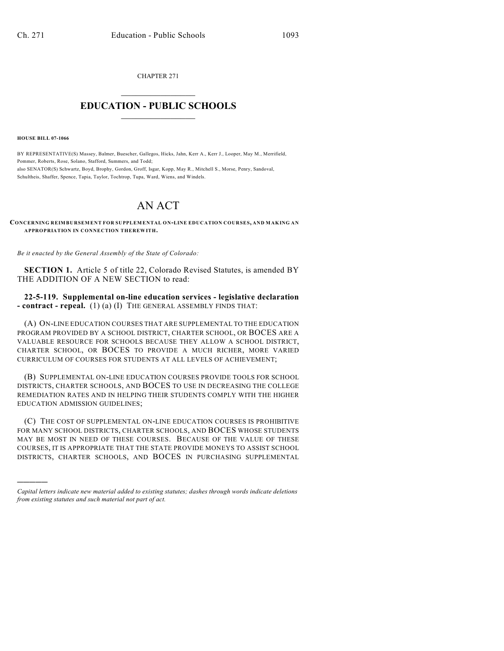CHAPTER 271  $\overline{\phantom{a}}$  . The set of the set of the set of the set of the set of the set of the set of the set of the set of the set of the set of the set of the set of the set of the set of the set of the set of the set of the set o

## **EDUCATION - PUBLIC SCHOOLS**  $\_$   $\_$   $\_$   $\_$   $\_$   $\_$   $\_$   $\_$   $\_$

**HOUSE BILL 07-1066**

)))))

BY REPRESENTATIVE(S) Massey, Balmer, Buescher, Gallegos, Hicks, Jahn, Kerr A., Kerr J., Looper, May M., Merrifield, Pommer, Roberts, Rose, Solano, Stafford, Summers, and Todd; also SENATOR(S) Schwartz, Boyd, Brophy, Gordon, Groff, Isgar, Kopp, May R., Mitchell S., Morse, Penry, Sandoval, Schultheis, Shaffer, Spence, Tapia, Taylor, Tochtrop, Tupa, Ward, Wiens, and Windels.

## AN ACT

**CONCERNING REIMBURSEMENT FOR SUPPLEMENTAL ON-LINE EDUCATION COURSES, AND MAKING AN APPROPRIATION IN CONNECTION THEREWITH.**

*Be it enacted by the General Assembly of the State of Colorado:*

**SECTION 1.** Article 5 of title 22, Colorado Revised Statutes, is amended BY THE ADDITION OF A NEW SECTION to read:

**22-5-119. Supplemental on-line education services - legislative declaration - contract - repeal.** (1) (a) (I) THE GENERAL ASSEMBLY FINDS THAT:

(A) ON-LINE EDUCATION COURSES THAT ARE SUPPLEMENTAL TO THE EDUCATION PROGRAM PROVIDED BY A SCHOOL DISTRICT, CHARTER SCHOOL, OR BOCES ARE A VALUABLE RESOURCE FOR SCHOOLS BECAUSE THEY ALLOW A SCHOOL DISTRICT, CHARTER SCHOOL, OR BOCES TO PROVIDE A MUCH RICHER, MORE VARIED CURRICULUM OF COURSES FOR STUDENTS AT ALL LEVELS OF ACHIEVEMENT;

(B) SUPPLEMENTAL ON-LINE EDUCATION COURSES PROVIDE TOOLS FOR SCHOOL DISTRICTS, CHARTER SCHOOLS, AND BOCES TO USE IN DECREASING THE COLLEGE REMEDIATION RATES AND IN HELPING THEIR STUDENTS COMPLY WITH THE HIGHER EDUCATION ADMISSION GUIDELINES;

(C) THE COST OF SUPPLEMENTAL ON-LINE EDUCATION COURSES IS PROHIBITIVE FOR MANY SCHOOL DISTRICTS, CHARTER SCHOOLS, AND BOCES WHOSE STUDENTS MAY BE MOST IN NEED OF THESE COURSES. BECAUSE OF THE VALUE OF THESE COURSES, IT IS APPROPRIATE THAT THE STATE PROVIDE MONEYS TO ASSIST SCHOOL DISTRICTS, CHARTER SCHOOLS, AND BOCES IN PURCHASING SUPPLEMENTAL

*Capital letters indicate new material added to existing statutes; dashes through words indicate deletions from existing statutes and such material not part of act.*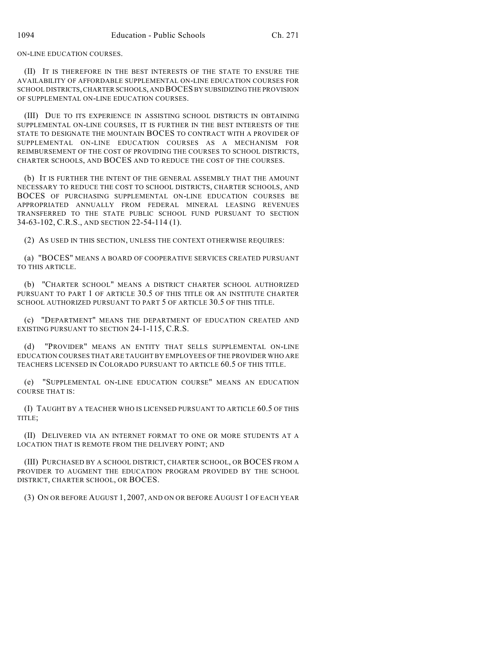ON-LINE EDUCATION COURSES.

(II) IT IS THEREFORE IN THE BEST INTERESTS OF THE STATE TO ENSURE THE AVAILABILITY OF AFFORDABLE SUPPLEMENTAL ON-LINE EDUCATION COURSES FOR SCHOOL DISTRICTS, CHARTER SCHOOLS, AND BOCES BY SUBSIDIZING THE PROVISION OF SUPPLEMENTAL ON-LINE EDUCATION COURSES.

(III) DUE TO ITS EXPERIENCE IN ASSISTING SCHOOL DISTRICTS IN OBTAINING SUPPLEMENTAL ON-LINE COURSES, IT IS FURTHER IN THE BEST INTERESTS OF THE STATE TO DESIGNATE THE MOUNTAIN BOCES TO CONTRACT WITH A PROVIDER OF SUPPLEMENTAL ON-LINE EDUCATION COURSES AS A MECHANISM FOR REIMBURSEMENT OF THE COST OF PROVIDING THE COURSES TO SCHOOL DISTRICTS, CHARTER SCHOOLS, AND BOCES AND TO REDUCE THE COST OF THE COURSES.

(b) IT IS FURTHER THE INTENT OF THE GENERAL ASSEMBLY THAT THE AMOUNT NECESSARY TO REDUCE THE COST TO SCHOOL DISTRICTS, CHARTER SCHOOLS, AND BOCES OF PURCHASING SUPPLEMENTAL ON-LINE EDUCATION COURSES BE APPROPRIATED ANNUALLY FROM FEDERAL MINERAL LEASING REVENUES TRANSFERRED TO THE STATE PUBLIC SCHOOL FUND PURSUANT TO SECTION 34-63-102, C.R.S., AND SECTION 22-54-114 (1).

(2) AS USED IN THIS SECTION, UNLESS THE CONTEXT OTHERWISE REQUIRES:

(a) "BOCES" MEANS A BOARD OF COOPERATIVE SERVICES CREATED PURSUANT TO THIS ARTICLE.

(b) "CHARTER SCHOOL" MEANS A DISTRICT CHARTER SCHOOL AUTHORIZED PURSUANT TO PART 1 OF ARTICLE 30.5 OF THIS TITLE OR AN INSTITUTE CHARTER SCHOOL AUTHORIZED PURSUANT TO PART 5 OF ARTICLE 30.5 OF THIS TITLE.

(c) "DEPARTMENT" MEANS THE DEPARTMENT OF EDUCATION CREATED AND EXISTING PURSUANT TO SECTION 24-1-115, C.R.S.

(d) "PROVIDER" MEANS AN ENTITY THAT SELLS SUPPLEMENTAL ON-LINE EDUCATION COURSES THAT ARE TAUGHT BY EMPLOYEES OF THE PROVIDER WHO ARE TEACHERS LICENSED IN COLORADO PURSUANT TO ARTICLE 60.5 OF THIS TITLE.

(e) "SUPPLEMENTAL ON-LINE EDUCATION COURSE" MEANS AN EDUCATION COURSE THAT IS:

(I) TAUGHT BY A TEACHER WHO IS LICENSED PURSUANT TO ARTICLE 60.5 OF THIS TITLE;

(II) DELIVERED VIA AN INTERNET FORMAT TO ONE OR MORE STUDENTS AT A LOCATION THAT IS REMOTE FROM THE DELIVERY POINT; AND

(III) PURCHASED BY A SCHOOL DISTRICT, CHARTER SCHOOL, OR BOCES FROM A PROVIDER TO AUGMENT THE EDUCATION PROGRAM PROVIDED BY THE SCHOOL DISTRICT, CHARTER SCHOOL, OR BOCES.

(3) ON OR BEFORE AUGUST 1, 2007, AND ON OR BEFORE AUGUST 1 OF EACH YEAR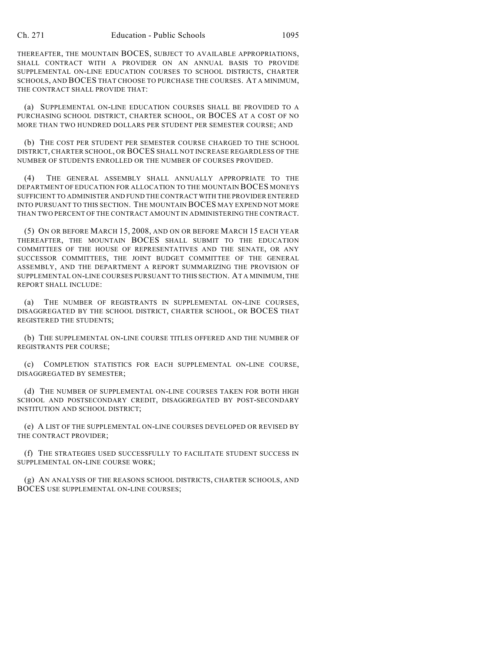THEREAFTER, THE MOUNTAIN BOCES, SUBJECT TO AVAILABLE APPROPRIATIONS, SHALL CONTRACT WITH A PROVIDER ON AN ANNUAL BASIS TO PROVIDE SUPPLEMENTAL ON-LINE EDUCATION COURSES TO SCHOOL DISTRICTS, CHARTER SCHOOLS, AND BOCES THAT CHOOSE TO PURCHASE THE COURSES. AT A MINIMUM, THE CONTRACT SHALL PROVIDE THAT:

(a) SUPPLEMENTAL ON-LINE EDUCATION COURSES SHALL BE PROVIDED TO A PURCHASING SCHOOL DISTRICT, CHARTER SCHOOL, OR BOCES AT A COST OF NO MORE THAN TWO HUNDRED DOLLARS PER STUDENT PER SEMESTER COURSE; AND

(b) THE COST PER STUDENT PER SEMESTER COURSE CHARGED TO THE SCHOOL DISTRICT, CHARTER SCHOOL, OR BOCES SHALL NOT INCREASE REGARDLESS OF THE NUMBER OF STUDENTS ENROLLED OR THE NUMBER OF COURSES PROVIDED.

(4) THE GENERAL ASSEMBLY SHALL ANNUALLY APPROPRIATE TO THE DEPARTMENT OF EDUCATION FOR ALLOCATION TO THE MOUNTAIN BOCES MONEYS SUFFICIENT TO ADMINISTER AND FUND THE CONTRACT WITH THE PROVIDER ENTERED INTO PURSUANT TO THIS SECTION. THE MOUNTAIN BOCES MAY EXPEND NOT MORE THAN TWO PERCENT OF THE CONTRACT AMOUNT IN ADMINISTERING THE CONTRACT.

(5) ON OR BEFORE MARCH 15, 2008, AND ON OR BEFORE MARCH 15 EACH YEAR THEREAFTER, THE MOUNTAIN BOCES SHALL SUBMIT TO THE EDUCATION COMMITTEES OF THE HOUSE OF REPRESENTATIVES AND THE SENATE, OR ANY SUCCESSOR COMMITTEES, THE JOINT BUDGET COMMITTEE OF THE GENERAL ASSEMBLY, AND THE DEPARTMENT A REPORT SUMMARIZING THE PROVISION OF SUPPLEMENTAL ON-LINE COURSES PURSUANT TO THIS SECTION. AT A MINIMUM, THE REPORT SHALL INCLUDE:

(a) THE NUMBER OF REGISTRANTS IN SUPPLEMENTAL ON-LINE COURSES, DISAGGREGATED BY THE SCHOOL DISTRICT, CHARTER SCHOOL, OR BOCES THAT REGISTERED THE STUDENTS;

(b) THE SUPPLEMENTAL ON-LINE COURSE TITLES OFFERED AND THE NUMBER OF REGISTRANTS PER COURSE;

(c) COMPLETION STATISTICS FOR EACH SUPPLEMENTAL ON-LINE COURSE, DISAGGREGATED BY SEMESTER;

(d) THE NUMBER OF SUPPLEMENTAL ON-LINE COURSES TAKEN FOR BOTH HIGH SCHOOL AND POSTSECONDARY CREDIT, DISAGGREGATED BY POST-SECONDARY INSTITUTION AND SCHOOL DISTRICT;

(e) A LIST OF THE SUPPLEMENTAL ON-LINE COURSES DEVELOPED OR REVISED BY THE CONTRACT PROVIDER;

(f) THE STRATEGIES USED SUCCESSFULLY TO FACILITATE STUDENT SUCCESS IN SUPPLEMENTAL ON-LINE COURSE WORK;

(g) AN ANALYSIS OF THE REASONS SCHOOL DISTRICTS, CHARTER SCHOOLS, AND BOCES USE SUPPLEMENTAL ON-LINE COURSES;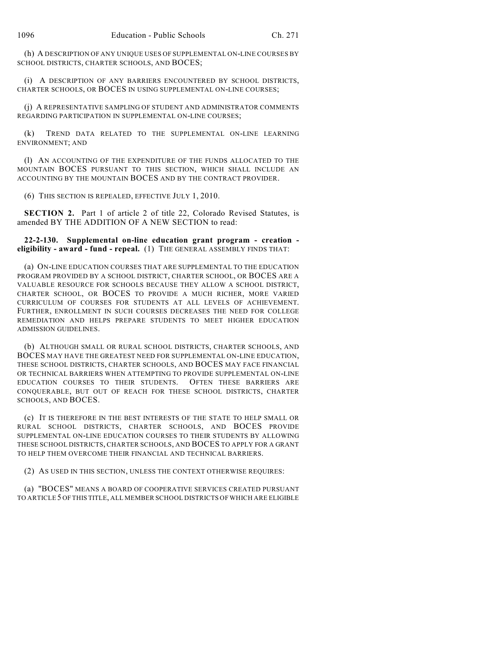(h) A DESCRIPTION OF ANY UNIQUE USES OF SUPPLEMENTAL ON-LINE COURSES BY SCHOOL DISTRICTS, CHARTER SCHOOLS, AND BOCES;

(i) A DESCRIPTION OF ANY BARRIERS ENCOUNTERED BY SCHOOL DISTRICTS, CHARTER SCHOOLS, OR BOCES IN USING SUPPLEMENTAL ON-LINE COURSES;

(j) A REPRESENTATIVE SAMPLING OF STUDENT AND ADMINISTRATOR COMMENTS REGARDING PARTICIPATION IN SUPPLEMENTAL ON-LINE COURSES;

(k) TREND DATA RELATED TO THE SUPPLEMENTAL ON-LINE LEARNING ENVIRONMENT; AND

(l) AN ACCOUNTING OF THE EXPENDITURE OF THE FUNDS ALLOCATED TO THE MOUNTAIN BOCES PURSUANT TO THIS SECTION, WHICH SHALL INCLUDE AN ACCOUNTING BY THE MOUNTAIN BOCES AND BY THE CONTRACT PROVIDER.

(6) THIS SECTION IS REPEALED, EFFECTIVE JULY 1, 2010.

**SECTION 2.** Part 1 of article 2 of title 22, Colorado Revised Statutes, is amended BY THE ADDITION OF A NEW SECTION to read:

**22-2-130. Supplemental on-line education grant program - creation eligibility - award - fund - repeal.** (1) THE GENERAL ASSEMBLY FINDS THAT:

(a) ON-LINE EDUCATION COURSES THAT ARE SUPPLEMENTAL TO THE EDUCATION PROGRAM PROVIDED BY A SCHOOL DISTRICT, CHARTER SCHOOL, OR BOCES ARE A VALUABLE RESOURCE FOR SCHOOLS BECAUSE THEY ALLOW A SCHOOL DISTRICT, CHARTER SCHOOL, OR BOCES TO PROVIDE A MUCH RICHER, MORE VARIED CURRICULUM OF COURSES FOR STUDENTS AT ALL LEVELS OF ACHIEVEMENT. FURTHER, ENROLLMENT IN SUCH COURSES DECREASES THE NEED FOR COLLEGE REMEDIATION AND HELPS PREPARE STUDENTS TO MEET HIGHER EDUCATION ADMISSION GUIDELINES.

(b) ALTHOUGH SMALL OR RURAL SCHOOL DISTRICTS, CHARTER SCHOOLS, AND BOCES MAY HAVE THE GREATEST NEED FOR SUPPLEMENTAL ON-LINE EDUCATION, THESE SCHOOL DISTRICTS, CHARTER SCHOOLS, AND BOCES MAY FACE FINANCIAL OR TECHNICAL BARRIERS WHEN ATTEMPTING TO PROVIDE SUPPLEMENTAL ON-LINE EDUCATION COURSES TO THEIR STUDENTS. OFTEN THESE BARRIERS ARE CONQUERABLE, BUT OUT OF REACH FOR THESE SCHOOL DISTRICTS, CHARTER SCHOOLS, AND BOCES.

(c) IT IS THEREFORE IN THE BEST INTERESTS OF THE STATE TO HELP SMALL OR RURAL SCHOOL DISTRICTS, CHARTER SCHOOLS, AND BOCES PROVIDE SUPPLEMENTAL ON-LINE EDUCATION COURSES TO THEIR STUDENTS BY ALLOWING THESE SCHOOL DISTRICTS, CHARTER SCHOOLS, AND BOCES TO APPLY FOR A GRANT TO HELP THEM OVERCOME THEIR FINANCIAL AND TECHNICAL BARRIERS.

(2) AS USED IN THIS SECTION, UNLESS THE CONTEXT OTHERWISE REQUIRES:

(a) "BOCES" MEANS A BOARD OF COOPERATIVE SERVICES CREATED PURSUANT TO ARTICLE 5 OF THIS TITLE, ALL MEMBER SCHOOL DISTRICTS OF WHICH ARE ELIGIBLE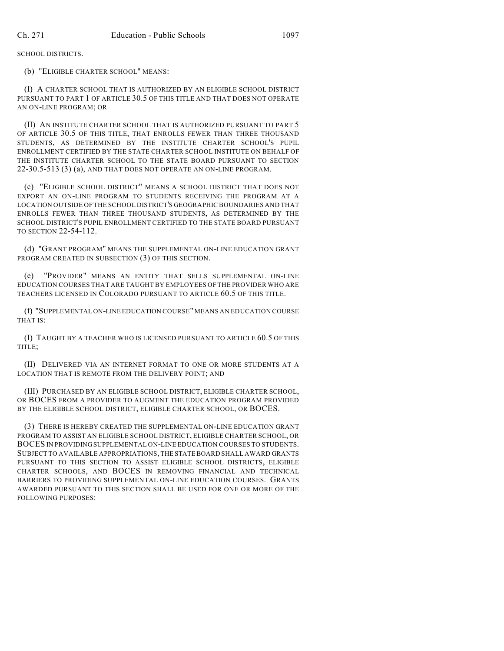SCHOOL DISTRICTS.

(b) "ELIGIBLE CHARTER SCHOOL" MEANS:

(I) A CHARTER SCHOOL THAT IS AUTHORIZED BY AN ELIGIBLE SCHOOL DISTRICT PURSUANT TO PART 1 OF ARTICLE 30.5 OF THIS TITLE AND THAT DOES NOT OPERATE AN ON-LINE PROGRAM; OR

(II) AN INSTITUTE CHARTER SCHOOL THAT IS AUTHORIZED PURSUANT TO PART 5 OF ARTICLE 30.5 OF THIS TITLE, THAT ENROLLS FEWER THAN THREE THOUSAND STUDENTS, AS DETERMINED BY THE INSTITUTE CHARTER SCHOOL'S PUPIL ENROLLMENT CERTIFIED BY THE STATE CHARTER SCHOOL INSTITUTE ON BEHALF OF THE INSTITUTE CHARTER SCHOOL TO THE STATE BOARD PURSUANT TO SECTION 22-30.5-513 (3) (a), AND THAT DOES NOT OPERATE AN ON-LINE PROGRAM.

(c) "ELIGIBLE SCHOOL DISTRICT" MEANS A SCHOOL DISTRICT THAT DOES NOT EXPORT AN ON-LINE PROGRAM TO STUDENTS RECEIVING THE PROGRAM AT A LOCATION OUTSIDE OF THE SCHOOL DISTRICT'S GEOGRAPHIC BOUNDARIES AND THAT ENROLLS FEWER THAN THREE THOUSAND STUDENTS, AS DETERMINED BY THE SCHOOL DISTRICT'S PUPIL ENROLLMENT CERTIFIED TO THE STATE BOARD PURSUANT TO SECTION 22-54-112.

(d) "GRANT PROGRAM" MEANS THE SUPPLEMENTAL ON-LINE EDUCATION GRANT PROGRAM CREATED IN SUBSECTION (3) OF THIS SECTION.

(e) "PROVIDER" MEANS AN ENTITY THAT SELLS SUPPLEMENTAL ON-LINE EDUCATION COURSES THAT ARE TAUGHT BY EMPLOYEES OF THE PROVIDER WHO ARE TEACHERS LICENSED IN COLORADO PURSUANT TO ARTICLE 60.5 OF THIS TITLE.

(f) "SUPPLEMENTAL ON-LINE EDUCATION COURSE" MEANS AN EDUCATION COURSE THAT IS:

(I) TAUGHT BY A TEACHER WHO IS LICENSED PURSUANT TO ARTICLE 60.5 OF THIS TITLE;

(II) DELIVERED VIA AN INTERNET FORMAT TO ONE OR MORE STUDENTS AT A LOCATION THAT IS REMOTE FROM THE DELIVERY POINT; AND

(III) PURCHASED BY AN ELIGIBLE SCHOOL DISTRICT, ELIGIBLE CHARTER SCHOOL, OR BOCES FROM A PROVIDER TO AUGMENT THE EDUCATION PROGRAM PROVIDED BY THE ELIGIBLE SCHOOL DISTRICT, ELIGIBLE CHARTER SCHOOL, OR BOCES.

(3) THERE IS HEREBY CREATED THE SUPPLEMENTAL ON-LINE EDUCATION GRANT PROGRAM TO ASSIST AN ELIGIBLE SCHOOL DISTRICT, ELIGIBLE CHARTER SCHOOL, OR BOCES IN PROVIDING SUPPLEMENTAL ON-LINE EDUCATION COURSES TO STUDENTS. SUBJECT TO AVAILABLE APPROPRIATIONS, THE STATE BOARD SHALL AWARD GRANTS PURSUANT TO THIS SECTION TO ASSIST ELIGIBLE SCHOOL DISTRICTS, ELIGIBLE CHARTER SCHOOLS, AND BOCES IN REMOVING FINANCIAL AND TECHNICAL BARRIERS TO PROVIDING SUPPLEMENTAL ON-LINE EDUCATION COURSES. GRANTS AWARDED PURSUANT TO THIS SECTION SHALL BE USED FOR ONE OR MORE OF THE FOLLOWING PURPOSES: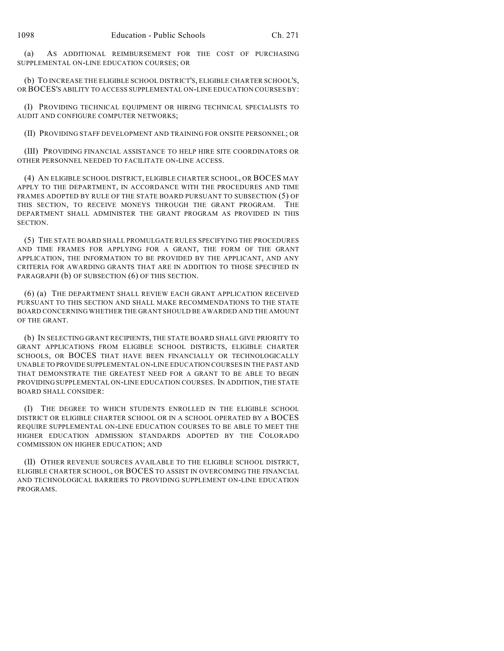(a) AS ADDITIONAL REIMBURSEMENT FOR THE COST OF PURCHASING SUPPLEMENTAL ON-LINE EDUCATION COURSES; OR

(b) TO INCREASE THE ELIGIBLE SCHOOL DISTRICT'S, ELIGIBLE CHARTER SCHOOL'S, OR BOCES'S ABILITY TO ACCESS SUPPLEMENTAL ON-LINE EDUCATION COURSES BY:

(I) PROVIDING TECHNICAL EQUIPMENT OR HIRING TECHNICAL SPECIALISTS TO AUDIT AND CONFIGURE COMPUTER NETWORKS;

(II) PROVIDING STAFF DEVELOPMENT AND TRAINING FOR ONSITE PERSONNEL; OR

(III) PROVIDING FINANCIAL ASSISTANCE TO HELP HIRE SITE COORDINATORS OR OTHER PERSONNEL NEEDED TO FACILITATE ON-LINE ACCESS.

(4) AN ELIGIBLE SCHOOL DISTRICT, ELIGIBLE CHARTER SCHOOL, OR BOCES MAY APPLY TO THE DEPARTMENT, IN ACCORDANCE WITH THE PROCEDURES AND TIME FRAMES ADOPTED BY RULE OF THE STATE BOARD PURSUANT TO SUBSECTION (5) OF THIS SECTION, TO RECEIVE MONEYS THROUGH THE GRANT PROGRAM. THE DEPARTMENT SHALL ADMINISTER THE GRANT PROGRAM AS PROVIDED IN THIS SECTION.

(5) THE STATE BOARD SHALL PROMULGATE RULES SPECIFYING THE PROCEDURES AND TIME FRAMES FOR APPLYING FOR A GRANT, THE FORM OF THE GRANT APPLICATION, THE INFORMATION TO BE PROVIDED BY THE APPLICANT, AND ANY CRITERIA FOR AWARDING GRANTS THAT ARE IN ADDITION TO THOSE SPECIFIED IN PARAGRAPH (b) OF SUBSECTION (6) OF THIS SECTION.

(6) (a) THE DEPARTMENT SHALL REVIEW EACH GRANT APPLICATION RECEIVED PURSUANT TO THIS SECTION AND SHALL MAKE RECOMMENDATIONS TO THE STATE BOARD CONCERNING WHETHER THE GRANT SHOULD BE AWARDED AND THE AMOUNT OF THE GRANT.

(b) IN SELECTING GRANT RECIPIENTS, THE STATE BOARD SHALL GIVE PRIORITY TO GRANT APPLICATIONS FROM ELIGIBLE SCHOOL DISTRICTS, ELIGIBLE CHARTER SCHOOLS, OR BOCES THAT HAVE BEEN FINANCIALLY OR TECHNOLOGICALLY UNABLE TO PROVIDE SUPPLEMENTAL ON-LINE EDUCATION COURSES IN THE PAST AND THAT DEMONSTRATE THE GREATEST NEED FOR A GRANT TO BE ABLE TO BEGIN PROVIDING SUPPLEMENTAL ON-LINE EDUCATION COURSES. IN ADDITION, THE STATE BOARD SHALL CONSIDER:

(I) THE DEGREE TO WHICH STUDENTS ENROLLED IN THE ELIGIBLE SCHOOL DISTRICT OR ELIGIBLE CHARTER SCHOOL OR IN A SCHOOL OPERATED BY A BOCES REQUIRE SUPPLEMENTAL ON-LINE EDUCATION COURSES TO BE ABLE TO MEET THE HIGHER EDUCATION ADMISSION STANDARDS ADOPTED BY THE COLORADO COMMISSION ON HIGHER EDUCATION; AND

(II) OTHER REVENUE SOURCES AVAILABLE TO THE ELIGIBLE SCHOOL DISTRICT, ELIGIBLE CHARTER SCHOOL, OR BOCES TO ASSIST IN OVERCOMING THE FINANCIAL AND TECHNOLOGICAL BARRIERS TO PROVIDING SUPPLEMENT ON-LINE EDUCATION PROGRAMS.